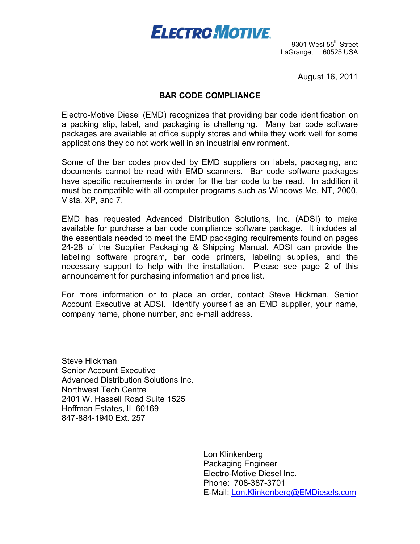# **ELECTRO MOTIVE**

9301 West 55<sup>th</sup> Street LaGrange, IL 60525 USA

August 16, 2011

#### **BAR CODE COMPLIANCE**

Electro-Motive Diesel (EMD) recognizes that providing bar code identification on a packing slip, label, and packaging is challenging. Many bar code software packages are available at office supply stores and while they work well for some applications they do not work well in an industrial environment.

Some of the bar codes provided by EMD suppliers on labels, packaging, and documents cannot be read with EMD scanners. Bar code software packages have specific requirements in order for the bar code to be read. In addition it must be compatible with all computer programs such as Windows Me, NT, 2000, Vista, XP, and 7.

EMD has requested Advanced Distribution Solutions, Inc. (ADSI) to make available for purchase a bar code compliance software package. It includes all the essentials needed to meet the EMD packaging requirements found on pages 24-28 of the Supplier Packaging & Shipping Manual. ADSI can provide the labeling software program, bar code printers, labeling supplies, and the necessary support to help with the installation. Please see page 2 of this announcement for purchasing information and price list.

For more information or to place an order, contact Steve Hickman, Senior Account Executive at ADSI. Identify yourself as an EMD supplier, your name, company name, phone number, and e-mail address.

Steve Hickman Senior Account Executive Advanced Distribution Solutions Inc. Northwest Tech Centre 2401 W. Hassell Road Suite 1525 Hoffman Estates, lL 60169 847-884-1940 Ext. 257

> Lon Klinkenberg Packaging Engineer Electro-Motive Diesel Inc. Phone: 708-387-3701 E-Mail: Lon.Klinkenberg@EMDiesels.com